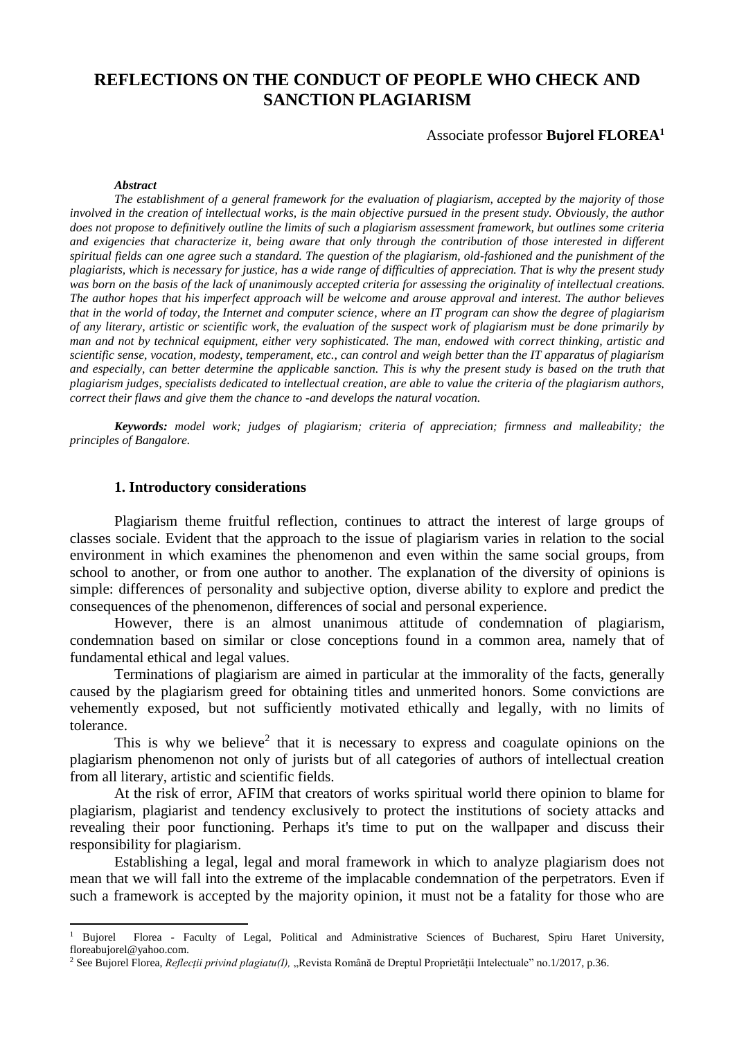# **REFLECTIONS ON THE CONDUCT OF PEOPLE WHO CHECK AND SANCTION PLAGIARISM**

#### Associate professor **Bujorel FLOREA<sup>1</sup>**

#### *Abstract*

**.** 

*The establishment of a general framework for the evaluation of plagiarism, accepted by the majority of those involved in the creation of intellectual works, is the main objective pursued in the present study. Obviously, the author does not propose to definitively outline the limits of such a plagiarism assessment framework, but outlines some criteria and exigencies that characterize it, being aware that only through the contribution of those interested in different spiritual fields can one agree such a standard. The question of the plagiarism, old-fashioned and the punishment of the plagiarists, which is necessary for justice, has a wide range of difficulties of appreciation. That is why the present study was born on the basis of the lack of unanimously accepted criteria for assessing the originality of intellectual creations. The author hopes that his imperfect approach will be welcome and arouse approval and interest. The author believes that in the world of today, the Internet and computer science, where an IT program can show the degree of plagiarism of any literary, artistic or scientific work, the evaluation of the suspect work of plagiarism must be done primarily by man and not by technical equipment, either very sophisticated. The man, endowed with correct thinking, artistic and scientific sense, vocation, modesty, temperament, etc., can control and weigh better than the IT apparatus of plagiarism and especially, can better determine the applicable sanction. This is why the present study is based on the truth that plagiarism judges, specialists dedicated to intellectual creation, are able to value the criteria of the plagiarism authors, correct their flaws and give them the chance to -and develops the natural vocation.*

*Keywords: model work; judges of plagiarism; criteria of appreciation; firmness and malleability; the principles of Bangalore.*

#### **1. Introductory considerations**

Plagiarism theme fruitful reflection, continues to attract the interest of large groups of classes sociale. Evident that the approach to the issue of plagiarism varies in relation to the social environment in which examines the phenomenon and even within the same social groups, from school to another, or from one author to another. The explanation of the diversity of opinions is simple: differences of personality and subjective option, diverse ability to explore and predict the consequences of the phenomenon, differences of social and personal experience.

However, there is an almost unanimous attitude of condemnation of plagiarism, condemnation based on similar or close conceptions found in a common area, namely that of fundamental ethical and legal values.

Terminations of plagiarism are aimed in particular at the immorality of the facts, generally caused by the plagiarism greed for obtaining titles and unmerited honors. Some convictions are vehemently exposed, but not sufficiently motivated ethically and legally, with no limits of tolerance.

This is why we believe<sup>2</sup> that it is necessary to express and coagulate opinions on the plagiarism phenomenon not only of jurists but of all categories of authors of intellectual creation from all literary, artistic and scientific fields.

At the risk of error, AFIM that creators of works spiritual world there opinion to blame for plagiarism, plagiarist and tendency exclusively to protect the institutions of society attacks and revealing their poor functioning. Perhaps it's time to put on the wallpaper and discuss their responsibility for plagiarism.

Establishing a legal, legal and moral framework in which to analyze plagiarism does not mean that we will fall into the extreme of the implacable condemnation of the perpetrators. Even if such a framework is accepted by the majority opinion, it must not be a fatality for those who are

<sup>&</sup>lt;sup>1</sup> Bujorel Florea - Faculty of Legal, Political and Administrative Sciences of Bucharest, Spiru Haret University, floreabujorel@yahoo.com.

<sup>2</sup> See Bujorel Florea, *Reflecții privind plagiatu(I),* "Revista Română de Dreptul Proprietății Intelectuale" no.1/2017, p.36.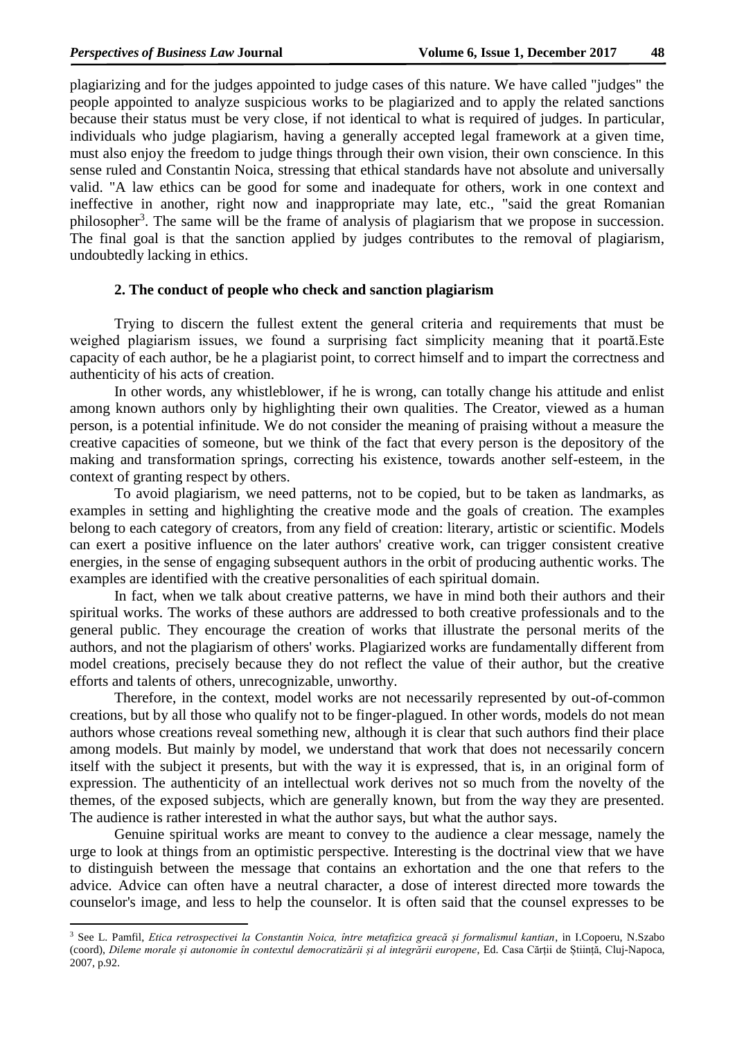**.** 

plagiarizing and for the judges appointed to judge cases of this nature. We have called "judges" the people appointed to analyze suspicious works to be plagiarized and to apply the related sanctions because their status must be very close, if not identical to what is required of judges. In particular, individuals who judge plagiarism, having a generally accepted legal framework at a given time, must also enjoy the freedom to judge things through their own vision, their own conscience. In this sense ruled and Constantin Noica, stressing that ethical standards have not absolute and universally valid. "A law ethics can be good for some and inadequate for others, work in one context and ineffective in another, right now and inappropriate may late, etc., "said the great Romanian philosopher<sup>3</sup>. The same will be the frame of analysis of plagiarism that we propose in succession. The final goal is that the sanction applied by judges contributes to the removal of plagiarism, undoubtedly lacking in ethics.

### **2. The conduct of people who check and sanction plagiarism**

Trying to discern the fullest extent the general criteria and requirements that must be weighed plagiarism issues, we found a surprising fact simplicity meaning that it poartă.Este capacity of each author, be he a plagiarist point, to correct himself and to impart the correctness and authenticity of his acts of creation.

In other words, any whistleblower, if he is wrong, can totally change his attitude and enlist among known authors only by highlighting their own qualities. The Creator, viewed as a human person, is a potential infinitude. We do not consider the meaning of praising without a measure the creative capacities of someone, but we think of the fact that every person is the depository of the making and transformation springs, correcting his existence, towards another self-esteem, in the context of granting respect by others.

To avoid plagiarism, we need patterns, not to be copied, but to be taken as landmarks, as examples in setting and highlighting the creative mode and the goals of creation. The examples belong to each category of creators, from any field of creation: literary, artistic or scientific. Models can exert a positive influence on the later authors' creative work, can trigger consistent creative energies, in the sense of engaging subsequent authors in the orbit of producing authentic works. The examples are identified with the creative personalities of each spiritual domain.

In fact, when we talk about creative patterns, we have in mind both their authors and their spiritual works. The works of these authors are addressed to both creative professionals and to the general public. They encourage the creation of works that illustrate the personal merits of the authors, and not the plagiarism of others' works. Plagiarized works are fundamentally different from model creations, precisely because they do not reflect the value of their author, but the creative efforts and talents of others, unrecognizable, unworthy.

Therefore, in the context, model works are not necessarily represented by out-of-common creations, but by all those who qualify not to be finger-plagued. In other words, models do not mean authors whose creations reveal something new, although it is clear that such authors find their place among models. But mainly by model, we understand that work that does not necessarily concern itself with the subject it presents, but with the way it is expressed, that is, in an original form of expression. The authenticity of an intellectual work derives not so much from the novelty of the themes, of the exposed subjects, which are generally known, but from the way they are presented. The audience is rather interested in what the author says, but what the author says.

Genuine spiritual works are meant to convey to the audience a clear message, namely the urge to look at things from an optimistic perspective. Interesting is the doctrinal view that we have to distinguish between the message that contains an exhortation and the one that refers to the advice. Advice can often have a neutral character, a dose of interest directed more towards the counselor's image, and less to help the counselor. It is often said that the counsel expresses to be

<sup>3</sup> See L. Pamfil, *Etica retrospectivei la Constantin Noica, între metafizica greacă și formalismul kantian*, in I.Copoeru, N.Szabo (coord), *Dileme morale și autonomie în contextul democratizării și al integrării europene*, Ed. Casa Cărții de Știință, Cluj-Napoca, 2007, p.92.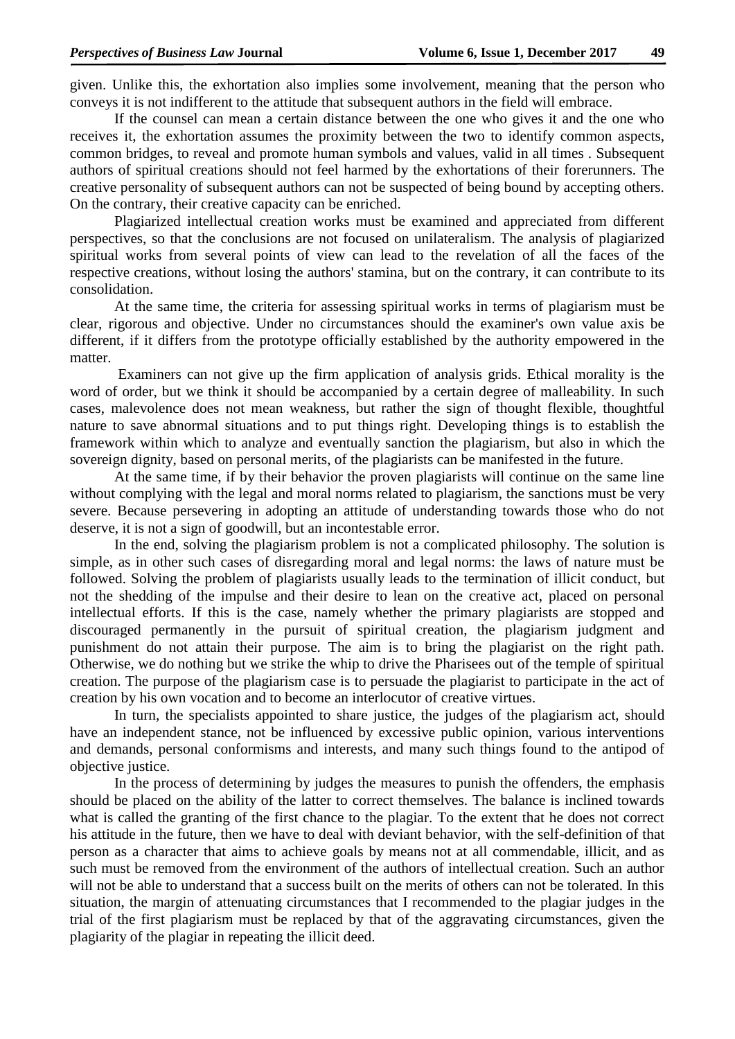given. Unlike this, the exhortation also implies some involvement, meaning that the person who conveys it is not indifferent to the attitude that subsequent authors in the field will embrace.

If the counsel can mean a certain distance between the one who gives it and the one who receives it, the exhortation assumes the proximity between the two to identify common aspects, common bridges, to reveal and promote human symbols and values, valid in all times . Subsequent authors of spiritual creations should not feel harmed by the exhortations of their forerunners. The creative personality of subsequent authors can not be suspected of being bound by accepting others. On the contrary, their creative capacity can be enriched.

Plagiarized intellectual creation works must be examined and appreciated from different perspectives, so that the conclusions are not focused on unilateralism. The analysis of plagiarized spiritual works from several points of view can lead to the revelation of all the faces of the respective creations, without losing the authors' stamina, but on the contrary, it can contribute to its consolidation.

At the same time, the criteria for assessing spiritual works in terms of plagiarism must be clear, rigorous and objective. Under no circumstances should the examiner's own value axis be different, if it differs from the prototype officially established by the authority empowered in the matter.

Examiners can not give up the firm application of analysis grids. Ethical morality is the word of order, but we think it should be accompanied by a certain degree of malleability. In such cases, malevolence does not mean weakness, but rather the sign of thought flexible, thoughtful nature to save abnormal situations and to put things right. Developing things is to establish the framework within which to analyze and eventually sanction the plagiarism, but also in which the sovereign dignity, based on personal merits, of the plagiarists can be manifested in the future.

At the same time, if by their behavior the proven plagiarists will continue on the same line without complying with the legal and moral norms related to plagiarism, the sanctions must be very severe. Because persevering in adopting an attitude of understanding towards those who do not deserve, it is not a sign of goodwill, but an incontestable error.

In the end, solving the plagiarism problem is not a complicated philosophy. The solution is simple, as in other such cases of disregarding moral and legal norms: the laws of nature must be followed. Solving the problem of plagiarists usually leads to the termination of illicit conduct, but not the shedding of the impulse and their desire to lean on the creative act, placed on personal intellectual efforts. If this is the case, namely whether the primary plagiarists are stopped and discouraged permanently in the pursuit of spiritual creation, the plagiarism judgment and punishment do not attain their purpose. The aim is to bring the plagiarist on the right path. Otherwise, we do nothing but we strike the whip to drive the Pharisees out of the temple of spiritual creation. The purpose of the plagiarism case is to persuade the plagiarist to participate in the act of creation by his own vocation and to become an interlocutor of creative virtues.

In turn, the specialists appointed to share justice, the judges of the plagiarism act, should have an independent stance, not be influenced by excessive public opinion, various interventions and demands, personal conformisms and interests, and many such things found to the antipod of objective justice.

In the process of determining by judges the measures to punish the offenders, the emphasis should be placed on the ability of the latter to correct themselves. The balance is inclined towards what is called the granting of the first chance to the plagiar. To the extent that he does not correct his attitude in the future, then we have to deal with deviant behavior, with the self-definition of that person as a character that aims to achieve goals by means not at all commendable, illicit, and as such must be removed from the environment of the authors of intellectual creation. Such an author will not be able to understand that a success built on the merits of others can not be tolerated. In this situation, the margin of attenuating circumstances that I recommended to the plagiar judges in the trial of the first plagiarism must be replaced by that of the aggravating circumstances, given the plagiarity of the plagiar in repeating the illicit deed.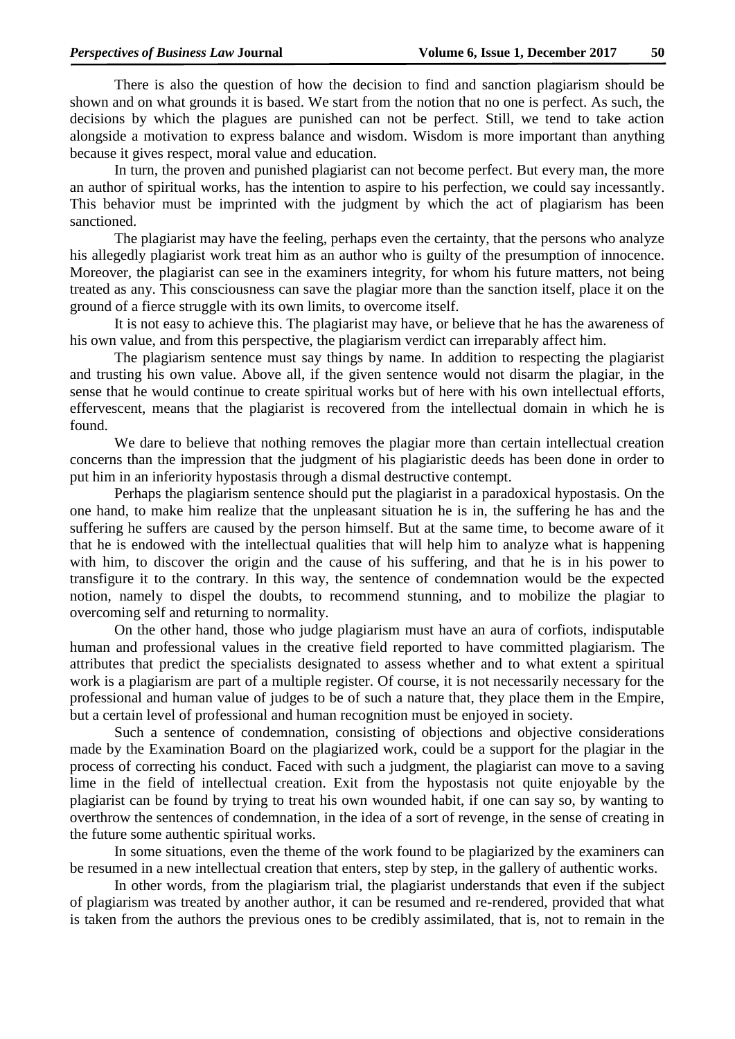There is also the question of how the decision to find and sanction plagiarism should be shown and on what grounds it is based. We start from the notion that no one is perfect. As such, the decisions by which the plagues are punished can not be perfect. Still, we tend to take action alongside a motivation to express balance and wisdom. Wisdom is more important than anything because it gives respect, moral value and education.

In turn, the proven and punished plagiarist can not become perfect. But every man, the more an author of spiritual works, has the intention to aspire to his perfection, we could say incessantly. This behavior must be imprinted with the judgment by which the act of plagiarism has been sanctioned.

The plagiarist may have the feeling, perhaps even the certainty, that the persons who analyze his allegedly plagiarist work treat him as an author who is guilty of the presumption of innocence. Moreover, the plagiarist can see in the examiners integrity, for whom his future matters, not being treated as any. This consciousness can save the plagiar more than the sanction itself, place it on the ground of a fierce struggle with its own limits, to overcome itself.

It is not easy to achieve this. The plagiarist may have, or believe that he has the awareness of his own value, and from this perspective, the plagiarism verdict can irreparably affect him.

The plagiarism sentence must say things by name. In addition to respecting the plagiarist and trusting his own value. Above all, if the given sentence would not disarm the plagiar, in the sense that he would continue to create spiritual works but of here with his own intellectual efforts, effervescent, means that the plagiarist is recovered from the intellectual domain in which he is found.

We dare to believe that nothing removes the plagiar more than certain intellectual creation concerns than the impression that the judgment of his plagiaristic deeds has been done in order to put him in an inferiority hypostasis through a dismal destructive contempt.

Perhaps the plagiarism sentence should put the plagiarist in a paradoxical hypostasis. On the one hand, to make him realize that the unpleasant situation he is in, the suffering he has and the suffering he suffers are caused by the person himself. But at the same time, to become aware of it that he is endowed with the intellectual qualities that will help him to analyze what is happening with him, to discover the origin and the cause of his suffering, and that he is in his power to transfigure it to the contrary. In this way, the sentence of condemnation would be the expected notion, namely to dispel the doubts, to recommend stunning, and to mobilize the plagiar to overcoming self and returning to normality.

On the other hand, those who judge plagiarism must have an aura of corfiots, indisputable human and professional values in the creative field reported to have committed plagiarism. The attributes that predict the specialists designated to assess whether and to what extent a spiritual work is a plagiarism are part of a multiple register. Of course, it is not necessarily necessary for the professional and human value of judges to be of such a nature that, they place them in the Empire, but a certain level of professional and human recognition must be enjoyed in society.

Such a sentence of condemnation, consisting of objections and objective considerations made by the Examination Board on the plagiarized work, could be a support for the plagiar in the process of correcting his conduct. Faced with such a judgment, the plagiarist can move to a saving lime in the field of intellectual creation. Exit from the hypostasis not quite enjoyable by the plagiarist can be found by trying to treat his own wounded habit, if one can say so, by wanting to overthrow the sentences of condemnation, in the idea of a sort of revenge, in the sense of creating in the future some authentic spiritual works.

In some situations, even the theme of the work found to be plagiarized by the examiners can be resumed in a new intellectual creation that enters, step by step, in the gallery of authentic works.

In other words, from the plagiarism trial, the plagiarist understands that even if the subject of plagiarism was treated by another author, it can be resumed and re-rendered, provided that what is taken from the authors the previous ones to be credibly assimilated, that is, not to remain in the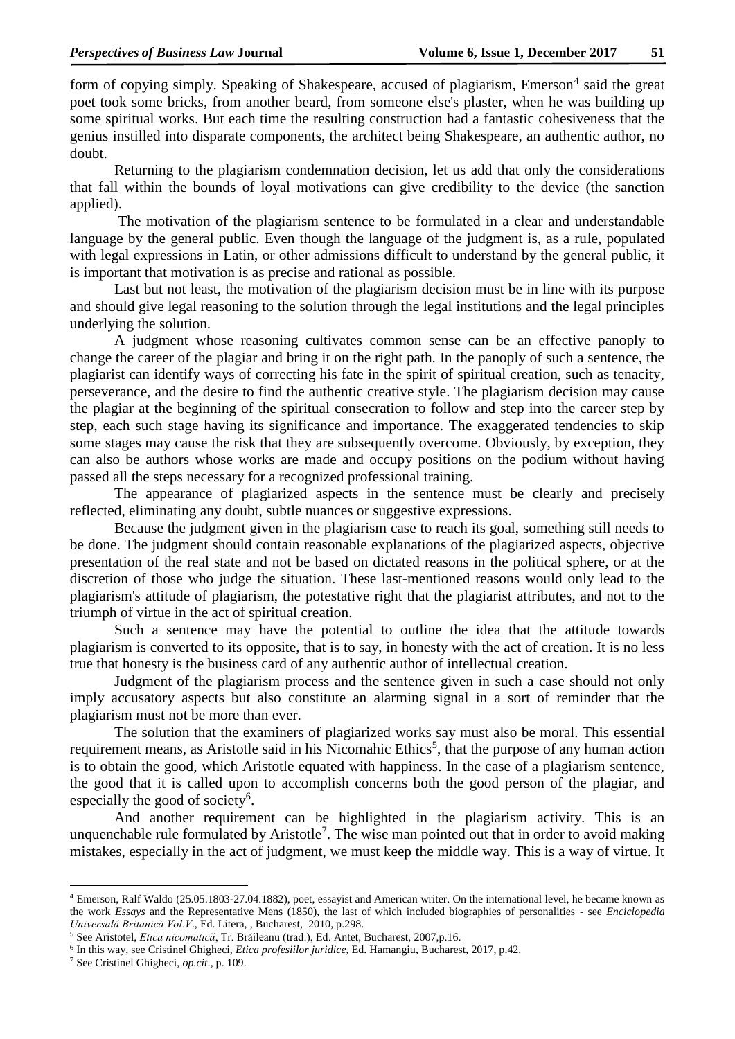form of copying simply. Speaking of Shakespeare, accused of plagiarism, Emerson<sup>4</sup> said the great poet took some bricks, from another beard, from someone else's plaster, when he was building up some spiritual works. But each time the resulting construction had a fantastic cohesiveness that the genius instilled into disparate components, the architect being Shakespeare, an authentic author, no doubt.

Returning to the plagiarism condemnation decision, let us add that only the considerations that fall within the bounds of loyal motivations can give credibility to the device (the sanction applied).

The motivation of the plagiarism sentence to be formulated in a clear and understandable language by the general public. Even though the language of the judgment is, as a rule, populated with legal expressions in Latin, or other admissions difficult to understand by the general public, it is important that motivation is as precise and rational as possible.

Last but not least, the motivation of the plagiarism decision must be in line with its purpose and should give legal reasoning to the solution through the legal institutions and the legal principles underlying the solution.

A judgment whose reasoning cultivates common sense can be an effective panoply to change the career of the plagiar and bring it on the right path. In the panoply of such a sentence, the plagiarist can identify ways of correcting his fate in the spirit of spiritual creation, such as tenacity, perseverance, and the desire to find the authentic creative style. The plagiarism decision may cause the plagiar at the beginning of the spiritual consecration to follow and step into the career step by step, each such stage having its significance and importance. The exaggerated tendencies to skip some stages may cause the risk that they are subsequently overcome. Obviously, by exception, they can also be authors whose works are made and occupy positions on the podium without having passed all the steps necessary for a recognized professional training.

The appearance of plagiarized aspects in the sentence must be clearly and precisely reflected, eliminating any doubt, subtle nuances or suggestive expressions.

Because the judgment given in the plagiarism case to reach its goal, something still needs to be done. The judgment should contain reasonable explanations of the plagiarized aspects, objective presentation of the real state and not be based on dictated reasons in the political sphere, or at the discretion of those who judge the situation. These last-mentioned reasons would only lead to the plagiarism's attitude of plagiarism, the potestative right that the plagiarist attributes, and not to the triumph of virtue in the act of spiritual creation.

Such a sentence may have the potential to outline the idea that the attitude towards plagiarism is converted to its opposite, that is to say, in honesty with the act of creation. It is no less true that honesty is the business card of any authentic author of intellectual creation.

Judgment of the plagiarism process and the sentence given in such a case should not only imply accusatory aspects but also constitute an alarming signal in a sort of reminder that the plagiarism must not be more than ever.

The solution that the examiners of plagiarized works say must also be moral. This essential requirement means, as Aristotle said in his Nicomahic Ethics<sup>5</sup>, that the purpose of any human action is to obtain the good, which Aristotle equated with happiness. In the case of a plagiarism sentence, the good that it is called upon to accomplish concerns both the good person of the plagiar, and especially the good of society<sup>6</sup>.

And another requirement can be highlighted in the plagiarism activity. This is an unquenchable rule formulated by Aristotle<sup>7</sup>. The wise man pointed out that in order to avoid making mistakes, especially in the act of judgment, we must keep the middle way. This is a way of virtue. It

**.** 

<sup>4</sup> Emerson, Ralf Waldo (25.05.1803-27.04.1882), poet, essayist and American writer. On the international level, he became known as the work *Essays* and the Representative Mens (1850), the last of which included biographies of personalities - see *Enciclopedia Universală Britanică Vol.V*., Ed. Litera, , Bucharest, 2010, p.298.

<sup>5</sup> See Aristotel, *Etica nicomatică*, Tr. Brăileanu (trad.), Ed. Antet, Bucharest, 2007,p.16.

<sup>6</sup> In this way, see Cristinel Ghigheci, *Etica profesiilor juridice*, Ed. Hamangiu, Bucharest, 2017, p.42.

<sup>7</sup> See Cristinel Ghigheci, *op.cit*., p. 109.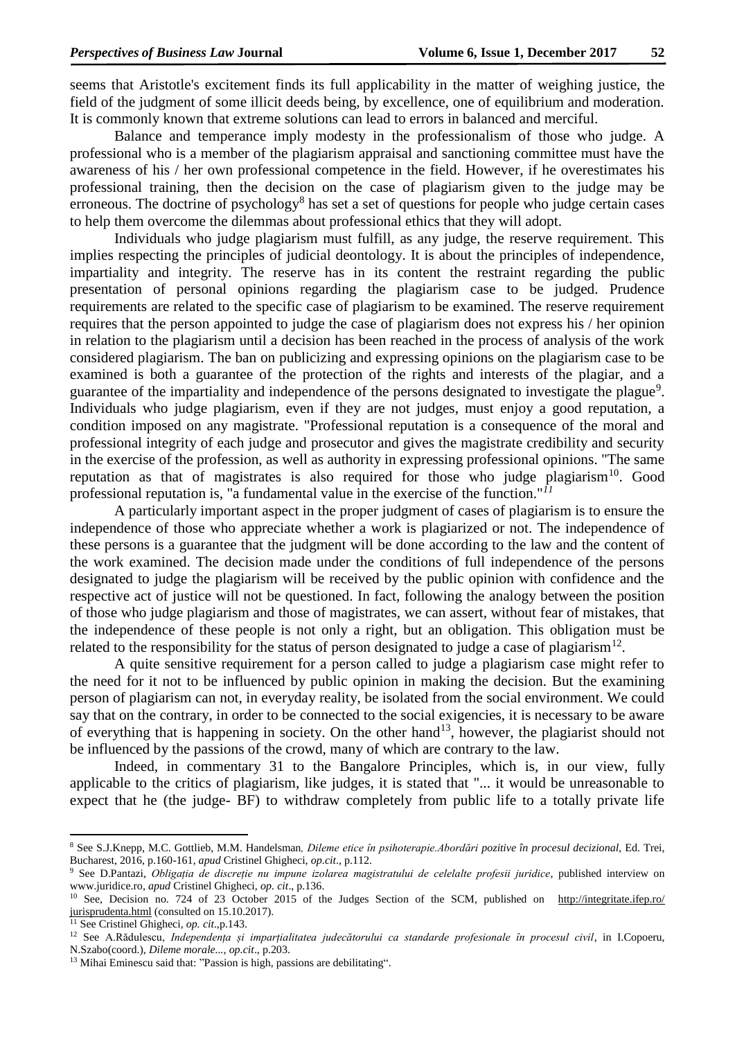seems that Aristotle's excitement finds its full applicability in the matter of weighing justice, the field of the judgment of some illicit deeds being, by excellence, one of equilibrium and moderation. It is commonly known that extreme solutions can lead to errors in balanced and merciful.

Balance and temperance imply modesty in the professionalism of those who judge. A professional who is a member of the plagiarism appraisal and sanctioning committee must have the awareness of his / her own professional competence in the field. However, if he overestimates his professional training, then the decision on the case of plagiarism given to the judge may be erroneous. The doctrine of psychology<sup>8</sup> has set a set of questions for people who judge certain cases to help them overcome the dilemmas about professional ethics that they will adopt.

Individuals who judge plagiarism must fulfill, as any judge, the reserve requirement. This implies respecting the principles of judicial deontology. It is about the principles of independence, impartiality and integrity. The reserve has in its content the restraint regarding the public presentation of personal opinions regarding the plagiarism case to be judged. Prudence requirements are related to the specific case of plagiarism to be examined. The reserve requirement requires that the person appointed to judge the case of plagiarism does not express his / her opinion in relation to the plagiarism until a decision has been reached in the process of analysis of the work considered plagiarism. The ban on publicizing and expressing opinions on the plagiarism case to be examined is both a guarantee of the protection of the rights and interests of the plagiar, and a guarantee of the impartiality and independence of the persons designated to investigate the plague<sup>9</sup>. Individuals who judge plagiarism, even if they are not judges, must enjoy a good reputation, a condition imposed on any magistrate. "Professional reputation is a consequence of the moral and professional integrity of each judge and prosecutor and gives the magistrate credibility and security in the exercise of the profession, as well as authority in expressing professional opinions. "The same reputation as that of magistrates is also required for those who judge plagiarism<sup>10</sup>. Good professional reputation is, "a fundamental value in the exercise of the function." *11*

A particularly important aspect in the proper judgment of cases of plagiarism is to ensure the independence of those who appreciate whether a work is plagiarized or not. The independence of these persons is a guarantee that the judgment will be done according to the law and the content of the work examined. The decision made under the conditions of full independence of the persons designated to judge the plagiarism will be received by the public opinion with confidence and the respective act of justice will not be questioned. In fact, following the analogy between the position of those who judge plagiarism and those of magistrates, we can assert, without fear of mistakes, that the independence of these people is not only a right, but an obligation. This obligation must be related to the responsibility for the status of person designated to judge a case of plagiarism<sup>12</sup>.

A quite sensitive requirement for a person called to judge a plagiarism case might refer to the need for it not to be influenced by public opinion in making the decision. But the examining person of plagiarism can not, in everyday reality, be isolated from the social environment. We could say that on the contrary, in order to be connected to the social exigencies, it is necessary to be aware of everything that is happening in society. On the other hand<sup>13</sup>, however, the plagiarist should not be influenced by the passions of the crowd, many of which are contrary to the law.

Indeed, in commentary 31 to the Bangalore Principles, which is, in our view, fully applicable to the critics of plagiarism, like judges, it is stated that "... it would be unreasonable to expect that he (the judge- BF) to withdraw completely from public life to a totally private life

-

<sup>8</sup> See S.J.Knepp, M.C. Gottlieb, M.M. Handelsman*, Dileme etice în psihoterapie.Abordări pozitive în procesul decizional,* Ed. Trei, Bucharest, 2016, p.160-161, *apud* Cristinel Ghigheci, *op.cit*., p.112.

<sup>9</sup> See D.Pantazi, *Obligația de discreție nu impune izolarea magistratului de celelalte profesii juridice*, published interview on www.juridice.ro, *apud* Cristinel Ghigheci*, op. cit*., p.136.

<sup>&</sup>lt;sup>10</sup> See, Decision no. 724 of 23 October 2015 of the Judges Section of the SCM, published on http://integritate.ifep.ro/ [jurisprudenta.html](http://integritate.ifep.ro/%20jurisprudenta.html%20(consulted) (consulted on 15.10.2017).

<sup>11</sup> See Cristinel Ghigheci*, op. cit*.,p.143.

<sup>12</sup> See A.Rădulescu, *Independența și imparțialitatea judecătorului ca standarde profesionale în procesul civil*, in I.Copoeru, N.Szabo(coord.), *Dileme morale..., op.cit*., p.203.

<sup>&</sup>lt;sup>13</sup> Mihai Eminescu said that: "Passion is high, passions are debilitating".